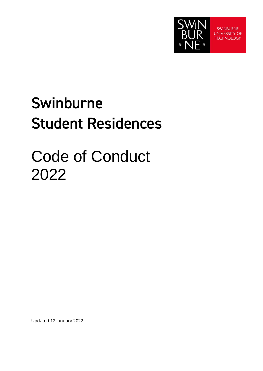

**SWINBURNE UNIVERSITY OF TECHNOLOGY** 

# **Swinburne Student Residences**

# Code of Conduct 2022

Updated 12 January 2022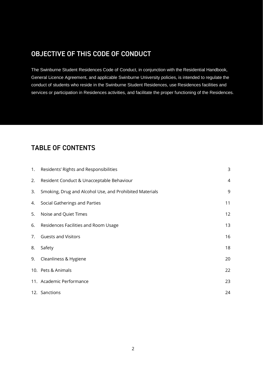# **OBJECTIVE OF THIS CODE OF CONDUCT**

The Swinburne Student Residences Code of Conduct, in conjunction with the Residential Handbook, General Licence Agreement, and applicable Swinburne University policies, is intended to regulate the conduct of students who reside in the Swinburne Student Residences, use Residences facilities and services or participation in Residences activities, and facilitate the proper functioning of the Residences.

# **TABLE OF CONTENTS**

| 1. | Residents' Rights and Responsibilities                  | 3              |
|----|---------------------------------------------------------|----------------|
| 2. | Resident Conduct & Unacceptable Behaviour               | $\overline{4}$ |
| 3. | Smoking, Drug and Alcohol Use, and Prohibited Materials | 9              |
| 4. | Social Gatherings and Parties                           | 11             |
| 5. | Noise and Quiet Times                                   | 12             |
| 6. | Residences Facilities and Room Usage                    | 13             |
| 7. | <b>Guests and Visitors</b>                              | 16             |
| 8. | Safety                                                  | 18             |
| 9. | Cleanliness & Hygiene                                   | 20             |
|    | 10. Pets & Animals                                      | 22             |
|    | 11. Academic Performance                                | 23             |
|    | 12. Sanctions                                           | 24             |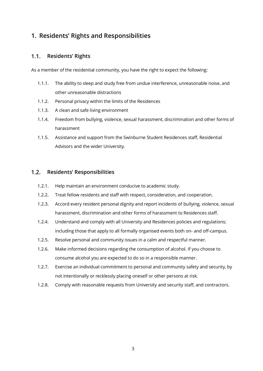# <span id="page-2-0"></span>**1. Residents' Rights and Responsibilities**

#### $1.1<sub>1</sub>$ **Residents' Rights**

As a member of the residential community, you have the right to expect the following:

- 1.1.1. The ability to sleep and study free from undue interference, unreasonable noise, and other unreasonable distractions
- 1.1.2. Personal privacy within the limits of the Residences
- 1.1.3. A clean and safe living environment
- 1.1.4. Freedom from bullying, violence, sexual harassment, discrimination and other forms of harassment
- 1.1.5. Assistance and support from the Swinburne Student Residences staff, Residential Advisors and the wider University.

#### $1.2.$ **Residents' Responsibilities**

- 1.2.1. Help maintain an environment conducive to academic study.
- 1.2.2. Treat fellow residents and staff with respect, consideration, and cooperation.
- 1.2.3. Accord every resident personal dignity and report incidents of bullying, violence, sexual harassment, discrimination and other forms of harassment to Residences staff.
- 1.2.4. Understand and comply with all University and Residences policies and regulations; including those that apply to all formally organised events both on- and off-campus.
- 1.2.5. Resolve personal and community issues in a calm and respectful manner.
- 1.2.6. Make informed decisions regarding the consumption of alcohol. If you choose to consume alcohol you are expected to do so in a responsible manner.
- 1.2.7. Exercise an individual commitment to personal and community safety and security, by not intentionally or recklessly placing oneself or other persons at risk.
- 1.2.8. Comply with reasonable requests from University and security staff, and contractors.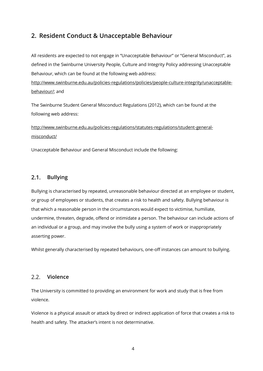### <span id="page-3-0"></span>**2. Resident Conduct & Unacceptable Behaviour**

All residents are expected to not engage in "Unacceptable Behaviour" or "General Misconduct", as defined in the Swinburne University People, Culture and Integrity Policy addressing Unacceptable Behaviour, which can be found at the following web address:

[http://www.swinburne.edu.au/policies-regulations/policies/people-culture-integrity/unacceptable](http://www.swinburne.edu.au/policies-regulations/policies/people-culture-integrity/unacceptable-behaviour/)[behaviour/;](http://www.swinburne.edu.au/policies-regulations/policies/people-culture-integrity/unacceptable-behaviour/) and

The Swinburne Student General Misconduct Regulations (2012), which can be found at the following web address:

[http://www.swinburne.edu.au/policies-regulations/statutes-regulations/student-general](http://www.swinburne.edu.au/policies-regulations/statutes-regulations/student-general-misconduct/)[misconduct/](http://www.swinburne.edu.au/policies-regulations/statutes-regulations/student-general-misconduct/)

Unacceptable Behaviour and General Misconduct include the following:

#### $2.1.$ **Bullying**

Bullying is characterised by repeated, unreasonable behaviour directed at an employee or student, or group of employees or students, that creates a risk to health and safety. Bullying behaviour is that which a reasonable person in the circumstances would expect to victimise, humiliate, undermine, threaten, degrade, offend or intimidate a person. The behaviour can include actions of an individual or a group, and may involve the bully using a system of work or inappropriately asserting power.

Whilst generally characterised by repeated behaviours, one-off instances can amount to bullying.

#### $2.2.$ **Violence**

The University is committed to providing an environment for work and study that is free from violence.

Violence is a physical assault or attack by direct or indirect application of force that creates a risk to health and safety. The attacker's intent is not determinative.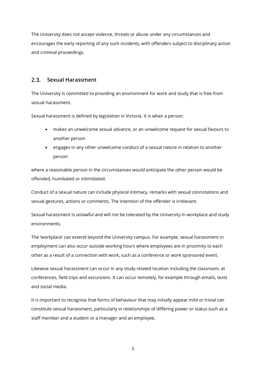The University does not accept violence, threats or abuse under any circumstances and encourages the early reporting of any such incidents, with offenders subject to disciplinary action and criminal proceedings.

#### **Sexual Harassment**  $2.3.$

The University is committed to providing an environment for work and study that is free from sexual harassment.

Sexual harassment is defined by legislation in Victoria. It is when a person:

- makes an unwelcome sexual advance, or an unwelcome request for sexual favours to another person
- engages in any other unwelcome conduct of a sexual nature in relation to another person

where a reasonable person in the circumstances would anticipate the other person would be offended, humiliated or intimidated.

Conduct of a sexual nature can include physical intimacy, remarks with sexual connotations and sexual gestures, actions or comments. The intention of the offender is irrelevant.

Sexual harassment is unlawful and will not be tolerated by the University in workplace and study environments.

The 'workplace' can extend beyond the University campus. For example, sexual harassment in employment can also occur outside working hours where employees are in proximity to each other as a result of a connection with work, such as a conference or work sponsored event.

Likewise sexual harassment can occur in any study related location including the classroom, at conferences, field trips and excursions. It can occur remotely, for example through emails, texts and social media.

It is important to recognise that forms of behaviour that may initially appear mild or trivial can constitute sexual harassment, particularly in relationships of differing power or status such as a staff member and a student or a manager and an employee.

5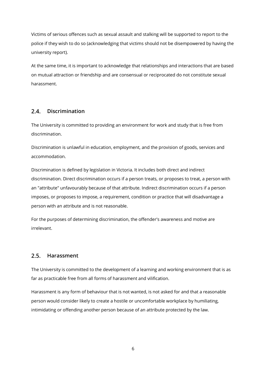Victims of serious offences such as sexual assault and stalking will be supported to report to the police if they wish to do so (acknowledging that victims should not be disempowered by having the university report).

At the same time, it is important to acknowledge that relationships and interactions that are based on mutual attraction or friendship and are consensual or reciprocated do not constitute sexual harassment.

#### **Discrimination**  $2.4.$

The University is committed to providing an environment for work and study that is free from discrimination.

Discrimination is unlawful in education, employment, and the provision of goods, services and accommodation.

Discrimination is defined by legislation in Victoria. It includes both direct and indirect discrimination. Direct discrimination occurs if a person treats, or proposes to treat, a person with an "attribute" unfavourably because of that attribute. Indirect discrimination occurs if a person imposes, or proposes to impose, a requirement, condition or practice that will disadvantage a person with an attribute and is not reasonable.

For the purposes of determining discrimination, the offender's awareness and motive are irrelevant.

#### $2.5.$ **Harassment**

The University is committed to the development of a learning and working environment that is as far as practicable free from all forms of harassment and vilification.

Harassment is any form of behaviour that is not wanted, is not asked for and that a reasonable person would consider likely to create a hostile or uncomfortable workplace by humiliating, intimidating or offending another person because of an attribute protected by the law.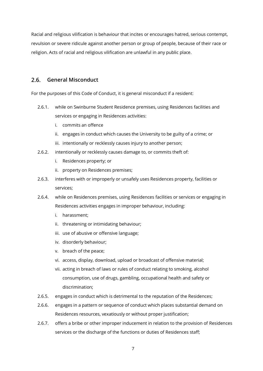Racial and religious vilification is behaviour that incites or encourages hatred, serious contempt, revulsion or severe ridicule against another person or group of people, because of their race or religion. Acts of racial and religious vilification are unlawful in any public place.

#### $2.6.$ **General Misconduct**

For the purposes of this Code of Conduct, it is general misconduct if a resident:

- 2.6.1. while on Swinburne Student Residence premises, using Residences facilities and services or engaging in Residences activities:
	- i. commits an offence
	- ii. engages in conduct which causes the University to be guilty of a crime; or
	- iii. intentionally or recklessly causes injury to another person;
- 2.6.2. intentionally or recklessly causes damage to, or commits theft of:
	- i. Residences property; or
	- ii. property on Residences premises;
- 2.6.3. interferes with or improperly or unsafely uses Residences property, facilities or services;
- 2.6.4. while on Residences premises, using Residences facilities or services or engaging in Residences activities engages in improper behaviour, including:
	- i. harassment;
	- ii. threatening or intimidating behaviour;
	- iii. use of abusive or offensive language;
	- iv. disorderly behaviour;
	- v. breach of the peace;
	- vi. access, display, download, upload or broadcast of offensive material;
	- vii. acting in breach of laws or rules of conduct relating to smoking, alcohol consumption, use of drugs, gambling, occupational health and safety or discrimination;
- 2.6.5. engages in conduct which is detrimental to the reputation of the Residences;
- 2.6.6. engages in a pattern or sequence of conduct which places substantial demand on Residences resources, vexatiously or without proper justification;
- 2.6.7. offers a bribe or other improper inducement in relation to the provision of Residences services or the discharge of the functions or duties of Residences staff;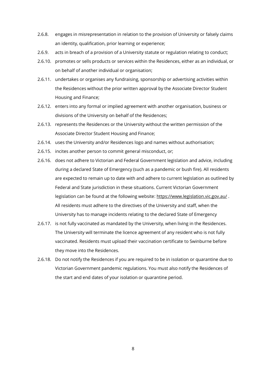- 2.6.8. engages in misrepresentation in relation to the provision of University or falsely claims an identity, qualification, prior learning or experience;
- 2.6.9. acts in breach of a provision of a University statute or regulation relating to conduct;
- 2.6.10. promotes or sells products or services within the Residences, either as an individual, or on behalf of another individual or organisation;
- 2.6.11. undertakes or organises any fundraising, sponsorship or advertising activities within the Residences without the prior written approval by the Associate Director Student Housing and Finance;
- 2.6.12. enters into any formal or implied agreement with another organisation, business or divisions of the University on behalf of the Residences;
- 2.6.13. represents the Residences or the University without the written permission of the Associate Director Student Housing and Finance;
- 2.6.14. uses the University and/or Residences logo and names without authorisation;
- 2.6.15. incites another person to commit general misconduct, or;
- 2.6.16. does not adhere to Victorian and Federal Government legislation and advice, including during a declared State of Emergency (such as a pandemic or bush fire). All residents are expected to remain up to date with and adhere to current legislation as outlined by Federal and State jurisdiction in these situations. Current Victorian Government legislation can be found at the following website: <https://www.legislation.vic.gov.au/>. All residents must adhere to the directives of the University and staff, when the University has to manage incidents relating to the declared State of Emergency
- 2.6.17. is not fully vaccinated as mandated by the University, when living in the Residences. The University will terminate the licence agreement of any resident who is not fully vaccinated. Residents must upload their vaccination certificate to Swinburne before they move into the Residences.
- 2.6.18. Do not notify the Residences if you are required to be in isolation or quarantine due to Victorian Government pandemic regulations. You must also notify the Residences of the start and end dates of your isolation or quarantine period.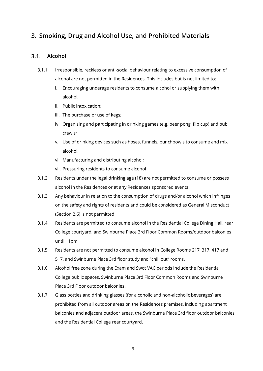# <span id="page-8-0"></span>**3. Smoking, Drug and Alcohol Use, and Prohibited Materials**

#### $3.1.$ **Alcohol**

- 3.1.1. Irresponsible, reckless or anti-social behaviour relating to excessive consumption of alcohol are not permitted in the Residences. This includes but is not limited to:
	- i. Encouraging underage residents to consume alcohol or supplying them with alcohol;
	- ii. Public intoxication;
	- iii. The purchase or use of kegs;
	- iv. Organising and participating in drinking games (e.g. beer pong, flip cup) and pub crawls;
	- v. Use of drinking devices such as hoses, funnels, punchbowls to consume and mix alcohol;
	- vi. Manufacturing and distributing alcohol;
	- vii. Pressuring residents to consume alcohol
- 3.1.2. Residents under the legal drinking age (18) are not permitted to consume or possess alcohol in the Residences or at any Residences sponsored events.
- 3.1.3. Any behaviour in relation to the consumption of drugs and/or alcohol which infringes on the safety and rights of residents and could be considered as General Misconduct (Section 2.6) is not permitted.
- 3.1.4. Residents are permitted to consume alcohol in the Residential College Dining Hall, rear College courtyard, and Swinburne Place 3rd Floor Common Rooms/outdoor balconies until 11pm.
- 3.1.5. Residents are not permitted to consume alcohol in College Rooms 217, 317, 417 and 517, and Swinburne Place 3rd floor study and "chill out" rooms.
- 3.1.6. Alcohol free zone during the Exam and Swot VAC periods include the Residential College public spaces, Swinburne Place 3rd Floor Common Rooms and Swinburne Place 3rd Floor outdoor balconies.
- 3.1.7. Glass bottles and drinking glasses (for alcoholic and non-alcoholic beverages) are prohibited from all outdoor areas on the Residences premises, including apartment balconies and adjacent outdoor areas, the Swinburne Place 3rd floor outdoor balconies and the Residential College rear courtyard.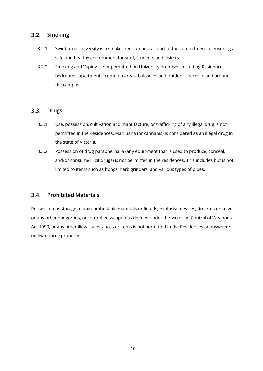#### $3.2.$ **Smoking**

- 3.2.1. Swinburne University is a smoke-free campus, as part of the commitment to ensuring a safe and healthy environment for staff, students and visitors.
- 3.2.2. Smoking and Vaping is not permitted on University premises, including Residences bedrooms, apartments, common areas, balconies and outdoor spaces in and around the campus.

#### $3.3.$ **Drugs**

- 3.3.1. Use, possession, cultivation and manufacture, or trafficking of any illegal drug is not permitted in the Residences. Marijuana (or cannabis) is considered as an illegal drug in the state of Victoria.
- 3.3.2. Possession of drug paraphernalia (any equipment that is used to produce, conceal, and/or consume illicit drugs) is not permitted in the residences. This includes but is not limited to items such as bongs, herb grinders, and various types of pipes.

#### **Prohibited Materials**  $3.4.$

Possession or storage of any combustible materials or liquids, explosive devices, firearms or knives or any other dangerous, or controlled weapon as defined under the Victorian Control of Weapons Act 1990, or any other illegal substances or items is not permitted in the Residences or anywhere on Swinburne property.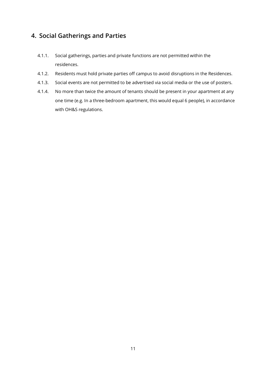## <span id="page-10-0"></span>**4. Social Gatherings and Parties**

- 4.1.1. Social gatherings, parties and private functions are not permitted within the residences.
- 4.1.2. Residents must hold private parties off campus to avoid disruptions in the Residences.
- 4.1.3. Social events are not permitted to be advertised via social media or the use of posters.
- 4.1.4. No more than twice the amount of tenants should be present in your apartment at any one time (e.g. In a three-bedroom apartment, this would equal 6 people), in accordance with OH&S regulations.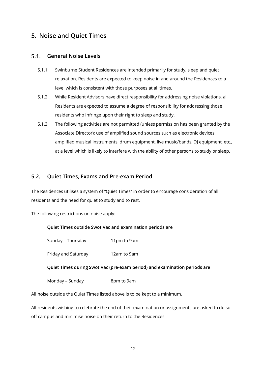## <span id="page-11-0"></span>**5. Noise and Quiet Times**

#### $5.1$ **General Noise Levels**

- 5.1.1. Swinburne Student Residences are intended primarily for study, sleep and quiet relaxation. Residents are expected to keep noise in and around the Residences to a level which is consistent with those purposes at all times.
- 5.1.2. While Resident Advisors have direct responsibility for addressing noise violations, all Residents are expected to assume a degree of responsibility for addressing those residents who infringe upon their right to sleep and study.
- 5.1.3. The following activities are not permitted (unless permission has been granted by the Associate Director): use of amplified sound sources such as electronic devices, amplified musical instruments, drum equipment, live music/bands, DJ equipment, etc., at a level which is likely to interfere with the ability of other persons to study or sleep.

### **5.2. Quiet Times, Exams and Pre-exam Period**

The Residences utilises a system of "Quiet Times" in order to encourage consideration of all residents and the need for quiet to study and to rest.

The following restrictions on noise apply:

### **Quiet Times outside Swot Vac and examination periods are**

Sunday – Thursday 11pm to 9am

Friday and Saturday 12am to 9am

### **Quiet Times during Swot Vac (pre-exam period) and examination periods are**

Monday – Sunday and a Spm to 9am

All noise outside the Quiet Times listed above is to be kept to a minimum.

All residents wishing to celebrate the end of their examination or assignments are asked to do so off campus and minimise noise on their return to the Residences.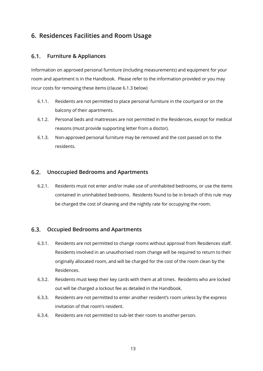# <span id="page-12-0"></span>**6. Residences Facilities and Room Usage**

#### $6.1$ . **Furniture & Appliances**

Information on approved personal furniture (including measurements) and equipment for your room and apartment is in the Handbook. Please refer to the information provided or you may incur costs for removing these items (clause 6.1.3 below)

- 6.1.1. Residents are not permitted to place personal furniture in the courtyard or on the balcony of their apartments.
- 6.1.2. Personal beds and mattresses are not permitted in the Residences, except for medical reasons (must provide supporting letter from a doctor).
- 6.1.3. Non-approved personal furniture may be removed and the cost passed on to the residents.

#### $6.2.$ **Unoccupied Bedrooms and Apartments**

6.2.1. Residents must not enter and/or make use of uninhabited bedrooms, or use the items contained in uninhabited bedrooms. Residents found to be in breach of this rule may be charged the cost of cleaning and the nightly rate for occupying the room.

#### $6.3.$ **Occupied Bedrooms and Apartments**

- 6.3.1. Residents are not permitted to change rooms without approval from Residences staff. Residents involved in an unauthorised room change will be required to return to their originally allocated room, and will be charged for the cost of the room clean by the Residences.
- 6.3.2. Residents must keep their key cards with them at all times. Residents who are locked out will be charged a lockout fee as detailed in the Handbook.
- 6.3.3. Residents are not permitted to enter another resident's room unless by the express invitation of that room's resident.
- 6.3.4. Residents are not permitted to sub-let their room to another person.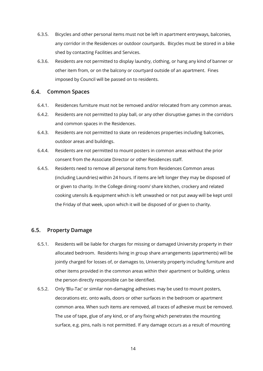- 6.3.5. Bicycles and other personal items must not be left in apartment entryways, balconies, any corridor in the Residences or outdoor courtyards. Bicycles must be stored in a bike shed by contacting Facilities and Services.
- 6.3.6. Residents are not permitted to display laundry, clothing, or hang any kind of banner or other item from, or on the balcony or courtyard outside of an apartment. Fines imposed by Council will be passed on to residents.

#### $6.4.$ **Common Spaces**

- 6.4.1. Residences furniture must not be removed and/or relocated from any common areas.
- 6.4.2. Residents are not permitted to play ball, or any other disruptive games in the corridors and common spaces in the Residences.
- 6.4.3. Residents are not permitted to skate on residences properties including balconies, outdoor areas and buildings.
- 6.4.4. Residents are not permitted to mount posters in common areas without the prior consent from the Associate Director or other Residences staff.
- 6.4.5. Residents need to remove all personal items from Residences Common areas (including Laundries) within 24 hours. If items are left longer they may be disposed of or given to charity. In the College dining room/ share kitchen, crockery and related cooking utensils & equipment which is left unwashed or not put away will be kept until the Friday of that week, upon which it will be disposed of or given to charity.

#### $6.5.$ **Property Damage**

- 6.5.1. Residents will be liable for charges for missing or damaged University property in their allocated bedroom. Residents living in group share arrangements (apartments) will be jointly charged for losses of, or damages to, University property including furniture and other items provided in the common areas within their apartment or building, unless the person directly responsible can be identified.
- 6.5.2. Only 'Blu-Tac' or similar non-damaging adhesives may be used to mount posters, decorations etc. onto walls, doors or other surfaces in the bedroom or apartment common area. When such items are removed, all traces of adhesive must be removed. The use of tape, glue of any kind, or of any fixing which penetrates the mounting surface, e.g. pins, nails is not permitted. If any damage occurs as a result of mounting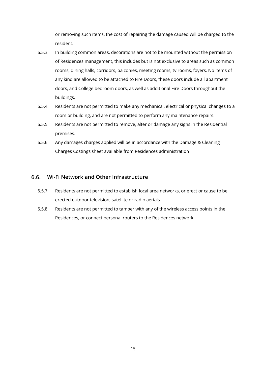or removing such items, the cost of repairing the damage caused will be charged to the resident.

- 6.5.3. In building common areas, decorations are not to be mounted without the permission of Residences management, this includes but is not exclusive to areas such as common rooms, dining halls, corridors, balconies, meeting rooms, tv rooms, foyers. No items of any kind are allowed to be attached to Fire Doors, these doors include all apartment doors, and College bedroom doors, as well as additional Fire Doors throughout the buildings.
- 6.5.4. Residents are not permitted to make any mechanical, electrical or physical changes to a room or building, and are not permitted to perform any maintenance repairs.
- 6.5.5. Residents are not permitted to remove, alter or damage any signs in the Residential premises.
- 6.5.6. Any damages charges applied will be in accordance with the Damage & Cleaning Charges Costings sheet available from Residences administration

### **Wi-Fi Network and Other Infrastructure**

- 6.5.7. Residents are not permitted to establish local area networks, or erect or cause to be erected outdoor television, satellite or radio aerials
- <span id="page-14-0"></span>6.5.8. Residents are not permitted to tamper with any of the wireless access points in the Residences, or connect personal routers to the Residences network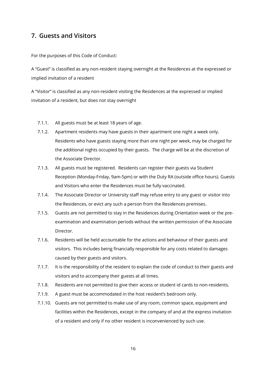### **7. Guests and Visitors**

For the purposes of this Code of Conduct:

A "Guest" is classified as any non-resident staying overnight at the Residences at the expressed or implied invitation of a resident

A "Visitor" is classified as any non-resident visiting the Residences at the expressed or implied invitation of a resident, but does not stay overnight

- 7.1.1. All guests must be at least 18 years of age.
- 7.1.2. Apartment residents may have guests in their apartment one night a week only. Residents who have guests staying more than one night per week, may be charged for the additional nights occupied by their guests. The charge will be at the discretion of the Associate Director.
- 7.1.3. All guests must be registered. Residents can register their guests via Student Reception (Monday-Friday, 9am-5pm) or with the Duty RA (outside office hours). Guests and Visitors who enter the Residences must be fully vaccinated.
- 7.1.4. The Associate Director or University staff may refuse entry to any guest or visitor into the Residences, or evict any such a person from the Residences premises.
- 7.1.5. Guests are not permitted to stay in the Residences during Orientation week or the preexamination and examination periods without the written permission of the Associate Director.
- 7.1.6. Residents will be held accountable for the actions and behaviour of their guests and visitors. This includes being financially responsible for any costs related to damages caused by their guests and visitors.
- 7.1.7. It is the responsibility of the resident to explain the code of conduct to their guests and visitors and to accompany their guests at all times.
- 7.1.8. Residents are not permitted to give their access or student id cards to non-residents.
- 7.1.9. A guest must be accommodated in the host resident's bedroom only.
- 7.1.10. Guests are not permitted to make use of any room, common space, equipment and facilities within the Residences, except in the company of and at the express invitation of a resident and only if no other resident is inconvenienced by such use.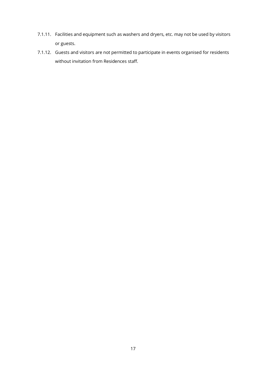- 7.1.11. Facilities and equipment such as washers and dryers, etc. may not be used by visitors or guests.
- 7.1.12. Guests and visitors are not permitted to participate in events organised for residents without invitation from Residences staff.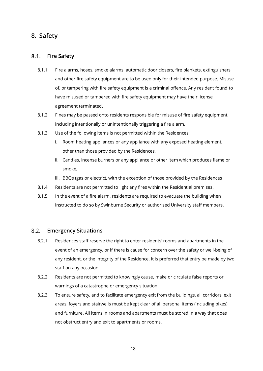### <span id="page-17-0"></span>**8. Safety**

#### $8.1.$ **Fire Safety**

- 8.1.1. Fire alarms, hoses, smoke alarms, automatic door closers, fire blankets, extinguishers and other fire safety equipment are to be used only for their intended purpose. Misuse of, or tampering with fire safety equipment is a criminal offence. Any resident found to have misused or tampered with fire safety equipment may have their license agreement terminated.
- 8.1.2. Fines may be passed onto residents responsible for misuse of fire safety equipment, including intentionally or unintentionally triggering a fire alarm.
- 8.1.3. Use of the following items is not permitted within the Residences:
	- i. Room heating appliances or any appliance with any exposed heating element, other than those provided by the Residences,
	- ii. Candles, incense burners or any appliance or other item which produces flame or smoke,
	- iii. BBQs (gas or electric), with the exception of those provided by the Residences
- 8.1.4. Residents are not permitted to light any fires within the Residential premises.
- 8.1.5. In the event of a fire alarm, residents are required to evacuate the building when instructed to do so by Swinburne Security or authorised University staff members.

#### $8.2.$ **Emergency Situations**

- 8.2.1. Residences staff reserve the right to enter residents' rooms and apartments in the event of an emergency, or if there is cause for concern over the safety or well-being of any resident, or the integrity of the Residence. It is preferred that entry be made by two staff on any occasion.
- 8.2.2. Residents are not permitted to knowingly cause, make or circulate false reports or warnings of a catastrophe or emergency situation.
- 8.2.3. To ensure safety, and to facilitate emergency exit from the buildings, all corridors, exit areas, foyers and stairwells must be kept clear of all personal items (including bikes) and furniture. All items in rooms and apartments must be stored in a way that does not obstruct entry and exit to apartments or rooms.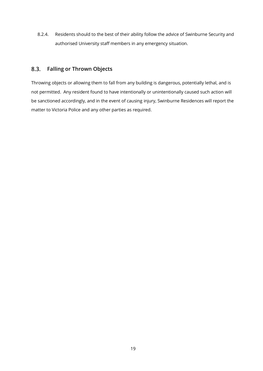8.2.4. Residents should to the best of their ability follow the advice of Swinburne Security and authorised University staff members in any emergency situation.

#### $8.3.$ **Falling or Thrown Objects**

Throwing objects or allowing them to fall from any building is dangerous, potentially lethal, and is not permitted. Any resident found to have intentionally or unintentionally caused such action will be sanctioned accordingly, and in the event of causing injury, Swinburne Residences will report the matter to Victoria Police and any other parties as required.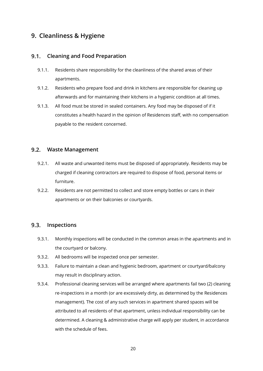# <span id="page-19-0"></span>**9. Cleanliness & Hygiene**

#### $9.1$ **Cleaning and Food Preparation**

- 9.1.1. Residents share responsibility for the cleanliness of the shared areas of their apartments.
- 9.1.2. Residents who prepare food and drink in kitchens are responsible for cleaning up afterwards and for maintaining their kitchens in a hygienic condition at all times.
- 9.1.3. All food must be stored in sealed containers. Any food may be disposed of if it constitutes a health hazard in the opinion of Residences staff, with no compensation payable to the resident concerned.

#### $9.2.$ **Waste Management**

- 9.2.1. All waste and unwanted items must be disposed of appropriately. Residents may be charged if cleaning contractors are required to dispose of food, personal items or furniture.
- 9.2.2. Residents are not permitted to collect and store empty bottles or cans in their apartments or on their balconies or courtyards.

#### $9.3.$ **Inspections**

- 9.3.1. Monthly inspections will be conducted in the common areas in the apartments and in the courtyard or balcony.
- 9.3.2. All bedrooms will be inspected once per semester.
- 9.3.3. Failure to maintain a clean and hygienic bedroom, apartment or courtyard/balcony may result in disciplinary action.
- 9.3.4. Professional cleaning services will be arranged where apartments fail two (2) cleaning re-inspections in a month (or are excessively dirty, as determined by the Residences management). The cost of any such services in apartment shared spaces will be attributed to all residents of that apartment, unless individual responsibility can be determined. A cleaning & administrative charge will apply per student, in accordance with the schedule of fees.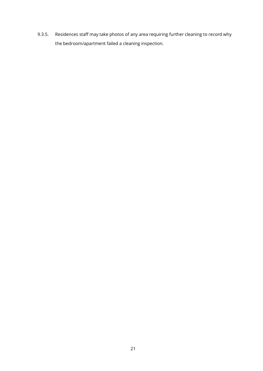9.3.5. Residences staff may take photos of any area requiring further cleaning to record why the bedroom/apartment failed a cleaning inspection.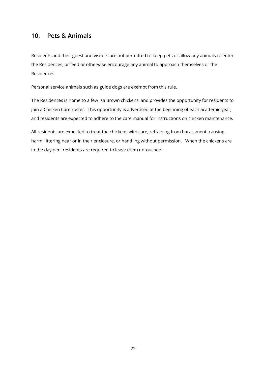### <span id="page-21-0"></span>**10. Pets & Animals**

Residents and their guest and visitors are not permitted to keep pets or allow any animals to enter the Residences, or feed or otherwise encourage any animal to approach themselves or the Residences.

Personal service animals such as guide dogs are exempt from this rule.

The Residences is home to a few Isa Brown chickens, and provides the opportunity for residents to join a Chicken Care roster. This opportunity is advertised at the beginning of each academic year, and residents are expected to adhere to the care manual for instructions on chicken maintenance.

All residents are expected to treat the chickens with care, refraining from harassment, causing harm, littering near or in their enclosure, or handling without permission. When the chickens are in the day pen, residents are required to leave them untouched.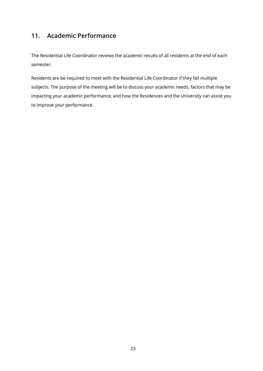# <span id="page-22-0"></span>**11. Academic Performance**

The Residential Life Coordinator reviews the academic results of all residents at the end of each semester.

Residents are be required to meet with the Residential Life Coordinator if they fail multiple subjects. The purpose of the meeting will be to discuss your academic needs, factors that may be impacting your academic performance, and how the Residences and the University can assist you to improve your performance.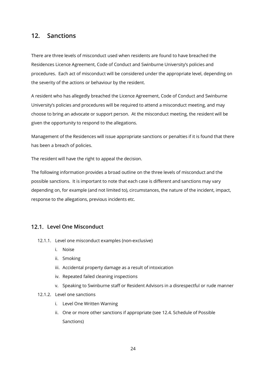### <span id="page-23-0"></span>**12. Sanctions**

There are three levels of misconduct used when residents are found to have breached the Residences Licence Agreement, Code of Conduct and Swinburne University's policies and procedures. Each act of misconduct will be considered under the appropriate level, depending on the severity of the actions or behaviour by the resident.

A resident who has allegedly breached the Licence Agreement, Code of Conduct and Swinburne University's policies and procedures will be required to attend a misconduct meeting, and may choose to bring an advocate or support person. At the misconduct meeting, the resident will be given the opportunity to respond to the allegations.

Management of the Residences will issue appropriate sanctions or penalties if it is found that there has been a breach of policies.

The resident will have the right to appeal the decision.

The following information provides a broad outline on the three levels of misconduct and the possible sanctions. It is important to note that each case is different and sanctions may vary depending on, for example (and not limited to), circumstances, the nature of the incident, impact, response to the allegations, previous incidents etc.

### **Level One Misconduct**

- 12.1.1. Level one misconduct examples (non-exclusive)
	- i. Noise
	- ii. Smoking
	- iii. Accidental property damage as a result of intoxication
	- iv. Repeated failed cleaning inspections
	- v. Speaking to Swinburne staff or Resident Advisors in a disrespectful or rude manner
- 12.1.2. Level one sanctions
	- i. Level One Written Warning
	- ii. One or more other sanctions if appropriate (see 12.4. Schedule of Possible Sanctions)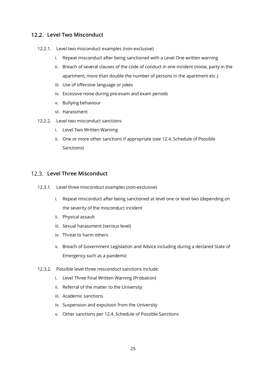### **Level Two Misconduct**

- 12.2.1. Level two misconduct examples (non-exclusive)
	- i. Repeat misconduct after being sanctioned with a Level One written warning
	- ii. Breach of several clauses of the code of conduct in one incident (noise, party in the apartment, more than double the number of persons in the apartment etc.)
	- iii. Use of offensive language or jokes
	- iv. Excessive noise during pre-exam and exam periods
	- v. Bullying behaviour
	- vi. Harassment
- 12.2.2. Level two misconduct sanctions
	- i. Level Two Written Warning
	- ii. One or more other sanctions if appropriate (see 12.4. Schedule of Possible Sanctions)

### **Level Three Misconduct**

- 12.3.1. Level three misconduct examples (non-exclusive)
	- i. Repeat misconduct after being sanctioned at level one or level two (depending on the severity of the misconduct incident
	- ii. Physical assault
	- iii. Sexual harassment (serious level)
	- iv. Threat to harm others
	- v. Breach of Government Legislation and Advice including during a declared State of Emergency such as a pandemic
- 12.3.2. Possible level three misconduct sanctions include:
	- i. Level Three Final Written Warning (Probation)
	- ii. Referral of the matter to the University
	- iii. Academic sanctions
	- iv. Suspension and expulsion from the University
	- v. Other sanctions per 12.4. Schedule of Possible Sanctions